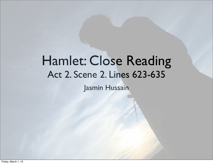#### Hamlet: Close Reading Act 2. Scene 2. Lines 623-635

Jasmin Hussain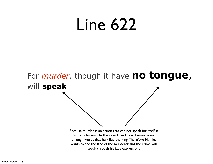### Line 622

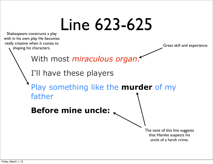# Line 623-625

Shakespeare constructs a play with in his own play. He becomes really creative when it comes to shaping his characters.

Great skill and experience.

With most *miraculous organ*.

I'll have these players

Play something like the **murder** of my father

**Before mine uncle:**

The tone of this line suggests that Hamlet suspects his uncle of a harsh crime.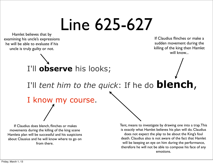## Line 625-627

Hamlet believes that by examining his uncle's expressions he will be able to evaluate if his uncle is truly guilty or not.

If Claudius flinches or make a sudden movement during the killing of the king then Hamlet will know...

#### I'll **observe** his looks;

I'll *tent him to the quick*: If he do **blench**,

#### I know my course.

 If Claudius does blench, flinches or makes movements during the killing of the king scene Hamlets plan will be successful and his suspicions about Clausius and he will know where to go on from there.

Tent, means to investigate by drawing one into a trap. This is exactly what Hamlet believes his plan will do. Claudius does not expect the play to be about the King's foul death. Claudius also is not aware of the fact that Hamlet will be keeping an eye on him during the performance, therefore he will not be able to compose his face of any emotions.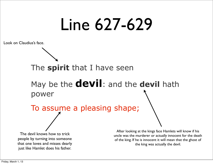### Line 627-629

Look on Claudius's face.

#### The **spirit** that I have seen

#### May be the **devil**: and the **devil** hath power

To assume a pleasing shape;

The devil knows how to trick people by turning into someone that one loves and misses dearly just like Hamlet does his father.

After looking at the kings face Hamlets will know if his uncle was the murderer or actually innocent for the death of the king. If he is innocent it will mean that the ghost of the king was actually the devil.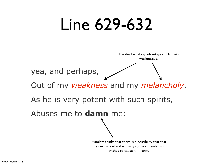### Line 629-632



the devil is evil and is trying to trick Hamlet, and wishes to cause him harm.